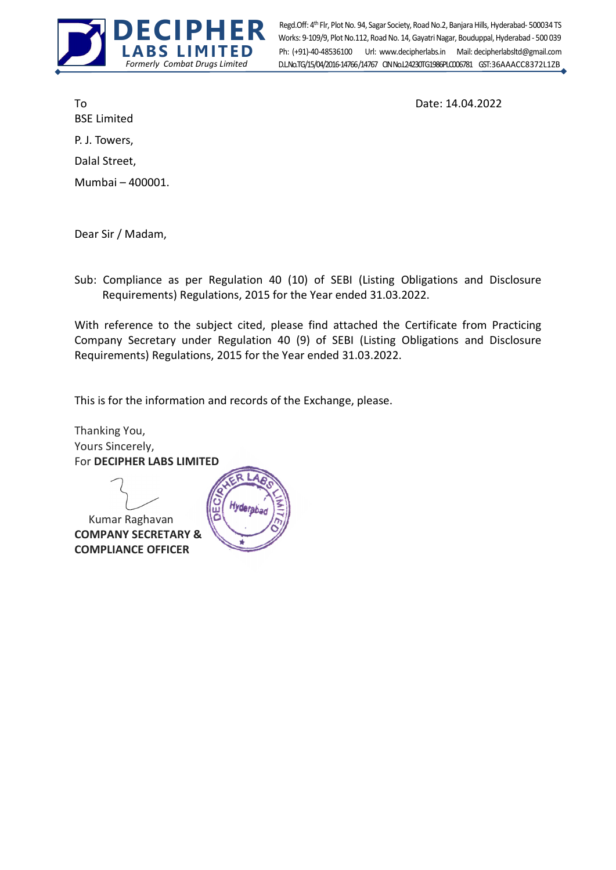

Ph: (+91)-40-48536100 Url: www.decipherlabs.in Mail: decipherlabsltd@gmail.com Works: 9-109/9, Plot No.112, Road No. 14, Gayatri Nagar, Bouduppal, Hyderabad - 500 039 D.L.No.TG/15/04/2016-14766/14767 CIN No.124230TG1986PLC006781 GST: 36AAACC8372L1ZB Regd.Off: 4th Flr, Plot No. 94, Sagar Society, Road No.2, Banjara Hills, Hyderabad- 500034 TS

BSE Limited P. J. Towers, Dalal Street, Mumbai – 400001.

To Date: 14.04.2022

Dear Sir / Madam,

Sub: Compliance as per Regulation 40 (10) of SEBI (Listing Obligations and Disclosure Requirements) Regulations, 2015 for the Year ended 31.03.2022.

With reference to the subject cited, please find attached the Certificate from Practicing Company Secretary under Regulation 40 (9) of SEBI (Listing Obligations and Disclosure Requirements) Regulations, 2015 for the Year ended 31.03.2022.

This is for the information and records of the Exchange, please.

Thanking You, Yours Sincerely, For DECIPHER LABS LIMITED

 Kumar Raghavan COMPANY SECRETARY & COMPLIANCE OFFICER